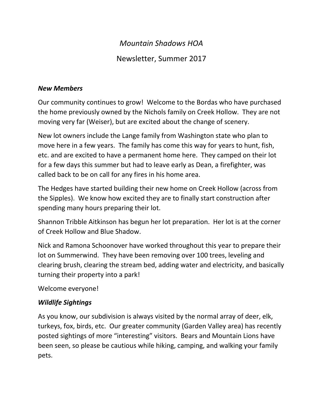# *Mountain Shadows HOA*

# Newsletter, Summer 2017

#### *New Members*

Our community continues to grow! Welcome to the Bordas who have purchased the home previously owned by the Nichols family on Creek Hollow. They are not moving very far (Weiser), but are excited about the change of scenery.

New lot owners include the Lange family from Washington state who plan to move here in a few years. The family has come this way for years to hunt, fish, etc. and are excited to have a permanent home here. They camped on their lot for a few days this summer but had to leave early as Dean, a firefighter, was called back to be on call for any fires in his home area.

The Hedges have started building their new home on Creek Hollow (across from the Sipples). We know how excited they are to finally start construction after spending many hours preparing their lot.

Shannon Tribble Aitkinson has begun her lot preparation. Her lot is at the corner of Creek Hollow and Blue Shadow.

Nick and Ramona Schoonover have worked throughout this year to prepare their lot on Summerwind. They have been removing over 100 trees, leveling and clearing brush, clearing the stream bed, adding water and electricity, and basically turning their property into a park!

Welcome everyone!

### *Wildlife Sightings*

As you know, our subdivision is always visited by the normal array of deer, elk, turkeys, fox, birds, etc. Our greater community (Garden Valley area) has recently posted sightings of more "interesting" visitors. Bears and Mountain Lions have been seen, so please be cautious while hiking, camping, and walking your family pets.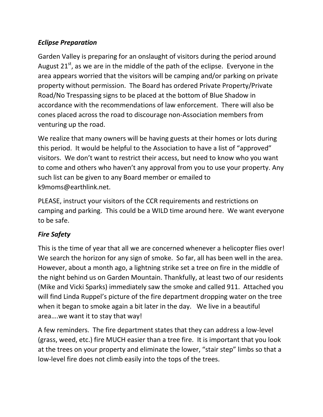## *Eclipse Preparation*

Garden Valley is preparing for an onslaught of visitors during the period around August  $21^{st}$ , as we are in the middle of the path of the eclipse. Everyone in the area appears worried that the visitors will be camping and/or parking on private property without permission. The Board has ordered Private Property/Private Road/No Trespassing signs to be placed at the bottom of Blue Shadow in accordance with the recommendations of law enforcement. There will also be cones placed across the road to discourage non-Association members from venturing up the road.

We realize that many owners will be having guests at their homes or lots during this period. It would be helpful to the Association to have a list of "approved" visitors. We don't want to restrict their access, but need to know who you want to come and others who haven't any approval from you to use your property. Any such list can be given to any Board member or emailed to k9moms@earthlink.net.

PLEASE, instruct your visitors of the CCR requirements and restrictions on camping and parking. This could be a WILD time around here. We want everyone to be safe.

## *Fire Safety*

This is the time of year that all we are concerned whenever a helicopter flies over! We search the horizon for any sign of smoke. So far, all has been well in the area. However, about a month ago, a lightning strike set a tree on fire in the middle of the night behind us on Garden Mountain. Thankfully, at least two of our residents (Mike and Vicki Sparks) immediately saw the smoke and called 911. Attached you will find Linda Ruppel's picture of the fire department dropping water on the tree when it began to smoke again a bit later in the day. We live in a beautiful area….we want it to stay that way!

A few reminders. The fire department states that they can address a low-level (grass, weed, etc.) fire MUCH easier than a tree fire. It is important that you look at the trees on your property and eliminate the lower, "stair step" limbs so that a low-level fire does not climb easily into the tops of the trees.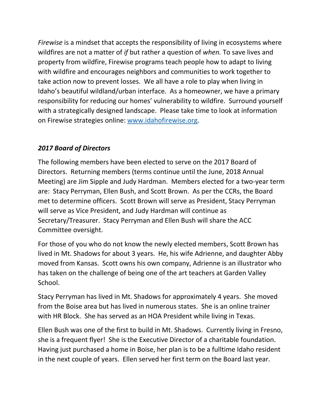*Firewise* is a mindset that accepts the responsibility of living in ecosystems where wildfires are not a matter of *if* but rather a question of *when.* To save lives and property from wildfire, Firewise programs teach people how to adapt to living with wildfire and encourages neighbors and communities to work together to take action now to prevent losses. We all have a role to play when living in Idaho's beautiful wildland/urban interface. As a homeowner, we have a primary responsibility for reducing our homes' vulnerability to wildfire. Surround yourself with a strategically designed landscape. Please take time to look at information on Firewise strategies online: [www.idahofirewise.org.](http://www.idahofirewise.org/)

### *2017 Board of Directors*

The following members have been elected to serve on the 2017 Board of Directors. Returning members (terms continue until the June, 2018 Annual Meeting) are Jim Sipple and Judy Hardman. Members elected for a two-year term are: Stacy Perryman, Ellen Bush, and Scott Brown. As per the CCRs, the Board met to determine officers. Scott Brown will serve as President, Stacy Perryman will serve as Vice President, and Judy Hardman will continue as Secretary/Treasurer. Stacy Perryman and Ellen Bush will share the ACC Committee oversight.

For those of you who do not know the newly elected members, Scott Brown has lived in Mt. Shadows for about 3 years. He, his wife Adrienne, and daughter Abby moved from Kansas. Scott owns his own company, Adrienne is an illustrator who has taken on the challenge of being one of the art teachers at Garden Valley School.

Stacy Perryman has lived in Mt. Shadows for approximately 4 years. She moved from the Boise area but has lived in numerous states. She is an online trainer with HR Block. She has served as an HOA President while living in Texas.

Ellen Bush was one of the first to build in Mt. Shadows. Currently living in Fresno, she is a frequent flyer! She is the Executive Director of a charitable foundation. Having just purchased a home in Boise, her plan is to be a fulltime Idaho resident in the next couple of years. Ellen served her first term on the Board last year.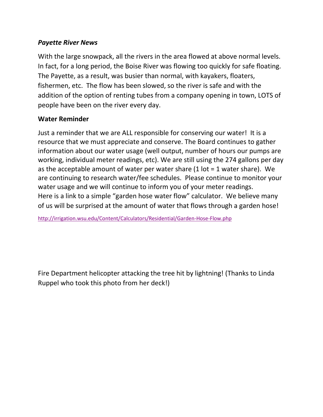### *Payette River News*

With the large snowpack, all the rivers in the area flowed at above normal levels. In fact, for a long period, the Boise River was flowing too quickly for safe floating. The Payette, as a result, was busier than normal, with kayakers, floaters, fishermen, etc. The flow has been slowed, so the river is safe and with the addition of the option of renting tubes from a company opening in town, LOTS of people have been on the river every day.

### **Water Reminder**

Just a reminder that we are ALL responsible for conserving our water! It is a resource that we must appreciate and conserve. The Board continues to gather information about our water usage (well output, number of hours our pumps are working, individual meter readings, etc). We are still using the 274 gallons per day as the acceptable amount of water per water share  $(1$  lot = 1 water share). We are continuing to research water/fee schedules. Please continue to monitor your water usage and we will continue to inform you of your meter readings. Here is a link to a simple "garden hose water flow" calculator. We believe many of us will be surprised at the amount of water that flows through a garden hose!

<http://irrigation.wsu.edu/Content/Calculators/Residential/Garden-Hose-Flow.php>

Fire Department helicopter attacking the tree hit by lightning! (Thanks to Linda Ruppel who took this photo from her deck!)